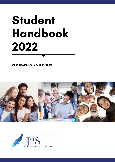# Student Handbook 2022

OUR TRAINING. YOUR FUTURE



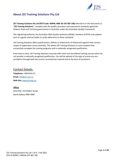

# <span id="page-1-0"></span>**About J2S Training Solutions Pty Ltd**

*J2S Training Solutions Pty Ltd* **(RTO Code: 90940; ABN: 66 107 687 196)**referred to in this document as "**J2S Training Solutions**", complies with the quality assurance and assessment standards agreed by Federal, State and Territory governments in Australia, under the Australian Quality Framework.

The registering authority, the Australian Skills Quality Authority (ASQA), monitors all RTOs and subjects each to regular external audits to verify adherence to these standards.

J2S Training Solutions offers qualifications, skillsets or Statements of Attainment against their various scopes of registration across Australia. This allows J2S Training Solutions to issue students that successfully complete the training programs with a nationally recognised qualification.

From time to time, J2S Training Solutions may also offer short non-accredited training courses which do not provide a nationally recognised qualification. You will be advised of the type of course you are enrolled in through both the course's promotional material and at the time of enrolment.

# Contact Details:

**Telephone:** 1300 818 121 **Email:** [info@j2s.edu.au](mailto:info@j2s.edu.au) **Web Site:** [www.j2s.edu.au](http://www.j2s.edu.au/)

# **Office:** Suite 602, 153 Walker Street North Sydney NSW 2060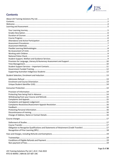

# **Contents**

<span id="page-2-0"></span>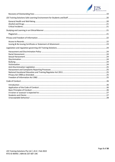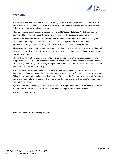

# <span id="page-4-0"></span>**Welcome**

We are very pleased to welcome you to J2S Training Solutions Pty Ltd (Registered Training Organisation Code: 90940). You would by now be either thinking about or have already enrolled with J2S Training Solutions to undertake a training program.

This handbook covers all aspects of being a student at *J2S Training Solutions Pty Ltd.* Our team is committed to providing a pleasant, friendly environment for the duration of your study.

This Student Handbook aims to answer frequently asked questions about our services, training and assessment, and our policies and procedures. The J2S Training Solutions team hopes you have a productive learning experience during your time here, one that is also fulfilling and fun!

Please take the time to carefully read through this handbook. We are sure it will answer most, if not all, of your questions. If you still have questions after reading this handbook, please do not hesitate to come and speak with us.

The J2S Training Solutions team is committed to ensuring you receive the training, assessment and support services that meet your individual needs. To achieve this, we need to know what your needs are. If at any point during your course you require any assistance or support, please discuss these needs with your trainer or our staff to help you.

If you have any special needs including language, literacy and numeracy, learning, mobility, visual impairment or hearing, you need to let us know as soon as possible, preferably at the start of the course. This will allow us to cater, as far as possible, for any of these needs. We assure you that any information you provide us in relation to your needs will remain confidential and will only be used to support you in your learning journey.

If, for any reason, J2S Training Solutions is unable to fulfil its agreement with you, we will issue a refund for any services not provided, as detailed in our policies and procedures on our website.

We wish you every success!

Simone Hopwood & Don Wilcox (Directors)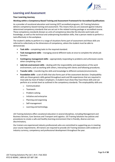

# <span id="page-5-0"></span>**Learning and Assessment**

## <span id="page-5-1"></span>**Your Learning Journey**

#### **Working within a Competency-Based Training and Assessment Framework for Accredited Qualifications**

As a provider of vocational education and training (VET) accredited programs, J2S Training Solutions delivers competency-based training and assessment. This means that you are assessed against industry determined competency standards that are set out in the related training package or accredited course. These competency standards (known as units of competency) describe the discrete work tasks and knowledge, as well as the technical and underpinning foundation skills, that a person needs to perform a task effectively in the workplace.

The student's ability to perform in a range of situations forms part of assessment and these skills are referred to collectively as the dimensions of competency, where the student must be able to demonstrate:

- **Task skills** completing tasks to the required standard.
- **Task management skills** managing several different tasks at once to complete the whole job function.
- **Contingency management skills** appropriately responding to problems and unforeseen events when completing a task.
- **Job/role environment skills** dealing with the responsibility and expectations of the work environment, such as working with others, interacting with clients and following procedures.
- **Transfer skills** transferring the skills and knowledge to different contexts/environments.
- **Foundation skills** a set of skills that also forms part of the assessment decision. Employability skills are those generic skills gained throughout work and life experiences that are required in most jobs by most of today's employers. A student must show they have these skills and can perform at a certain level as outlined in the competency standards. The employability skills are:
	- o Communication
	- o Teamwork
	- o Problem-solving
	- o Initiative and enterprise
	- o Planning and organising
	- o Self-management
	- o Learning and technology.

J2S Training Solutions offers vocational education in several disciplines, including Management and Business Services, Care Services and Transport and Logistics. J2S Training Solutions has policies and procedures to create a safe and healthy learning environment that is friendly, diverse and nondiscriminatory.

Our trainers are experienced industry professionals who are committed to supporting you in meeting your course requirements. All trainers are required to provide J2S Training Solutions with evidence of industry currency, competency and professional development throughout the year.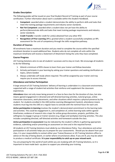

# <span id="page-6-0"></span>**Grades Description**

The following grades will be issued on your final Student Record of Training as part of your course certification. Further information about each is available within this Student Handbook.

- **Competent**: awarded when a student demonstrates the ability to perform skills and tasks that meet the training package requirements and industry sector standards.
- **Not Yet Competent**: awarded when a student does not yet have the ability to perform/demonstrate skills and tasks that meet training package requirements and industry sector standards.
- **Credit Transfer**: transfer credit for unit(s) obtained from any other RTO
- **Recognition of Prior Learning** (RPL): granted when a student successfully completes an RPL assessment for the unit of competency through the skills recognitionpathway.

#### <span id="page-6-1"></span>**Duration of Courses**

All enrolments have a maximum duration and you need to complete the course within the specified enrolment duration to avoid additional fees. Students who do not complete all units within the maximum timeframe will receive a Statement of Attainment listing the units they have completed.

#### <span id="page-6-2"></span>**Course Progress**

J2S Training Solutions aims to see all students' successes and to stay on track. We encourage all students to do the following:

- 1. Attend a minimum of 85% classes to learn from your trainer and fellowclassmates
- 2. Actively participate in your learning by asking your trainer questions and seeking clarification on topics, where needed
- 3. Always undertake self-study where required. This will be assigned by your trainer and may require you to access Internet.

#### <span id="page-6-3"></span>**Attendance and Active Participation**

A large amount of J2S Training Solutions' delivery of learning is undertaken in a classroom environment, supported with a range of student-led activities that reinforce and supplement the classroom experiences.

*Attendance* does not only mean being present in a face-to-face class for the duration of class, but also means agreed engagement in directed and self-directed learning activities, tutorial groups, online interactive classrooms, work placements, and other situations which requires a physical presence by the student. For students enrolled in the LMS [online *Learning Management System*], attendance means students must log into the LMS on a regular basis to coincide with the nominal hours for each unit.

*Active participation in learning* involves the student's demonstrated commitment to the learning tasks and activities. This could be engagement in, and completion of, online learning tasks within agreed timeframes; evidence of research into a topic for online group discussions, projects, portfolios; the willingness to engage in group or trainer sessions (e.g. blogs) and workplace learning activities. This also includes completing directed, self-directed activities and homework outside the class.

*Active participation in assessment* may be indicated by the student's efforts in gathering appropriate evidence, submitting and/or presenting an assessment on time and in the required format.

All students at J2S Training Solutions must abide by our Attendance Policy. Your attendance and active participation in all activities helps you to prepare for your assessments. Should you be absent from your class, it is your responsibility to contact either your Trainer/Assessor or J2S Training Solutions office to advise on the day of being absent, or earlier where circumstances allow. If you are ill, you may be asked to produce a medical certificate. **It is your responsibility to catch up on your missed work.**

You are preparing for the world of work whilst you are studying with J2S Training Solutions, so it is important to have made back -up plans to support you attending your training.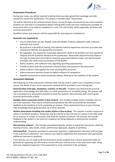

## <span id="page-7-0"></span>**Assessment Procedures**

During your study, you will be required to demonstrate you have gained the knowledge and skills required to receive the qualification. This process is broadly called "Assessment".

You will be informed at the commencement of your course the types of assessment you must complete. Students are assessed in a Competency Based Training (CBT) mode and must satisfactorily complete all assessment items to be rated as competent in a unit. This will include, where applicable, all theory and practical assessments.

Qualified trainers and assessors will be responsible for assessing your competence.

## **Assessors are required to:**

- Ensure assessments are fair, flexible, valid and reliable. Evidence collected is valid, sufficient, authentic and current
- Be proficient in the field of training, with relevant industry experience and to be up to date with assessment methods and appropriate procedures
- Be negotiable. Any request for reasonable adjustment needs to be justified and must uphold the integrity and the academic standard of the qualification. Reasonable adjustment may relate to the type of assessment and evidence required, assessment delivery mode, anti-discrimination principles, the needs and circumstances of the student
- Advise students, with sufficient time, regarding upcoming assessment(s)
- Provide students with the assessment criteria/context and purpose of the assessment
- Advise students of Recognition for Prior Learning (RPL) processes
- Make assessment decisions based on explicit evidence of competency
- Expedite assessment to avoid unnecessary delays, allowing for the readiness of the student.

#### <span id="page-7-1"></span>**Assessment Methods**

The following are some assessment methods which may be used to confirm your competency in your course. The details of your actual assessment methods will be provided in your training plan.

**Demonstration (role-play, simulations, scenario, on-the-job)** – Students may demonstrate practical application of knowledge and skills either in a work environment or simulated setting. The assessor will use a competency or observation checklist to check the student's demonstrated skills matching the essential performance criteria.

*Multiple choice assessment (online or face-to-face)* – this includes multiple choice, true/false and / or tick-a-box questions. They may be marked automatically by the LMS and provide the immediate feedback to the students; or to be marked by an assessor. These assessments focus on your learning topic knowledge which generally allow up to three attempts.

*Written assessments including case studies (online or face-to-face) - This requires a written response to* online or workbook questions. Responses may be entered on-line and sent to a queue in the LMS ready for an assessor to review; or assessors may mark the answers on person. The assessor will provide feedback to the student in the event of a response not being adequate to demonstrate complete understanding.

*Documentary evidence* – This includes spreadsheets/graphs, written or typed text documents, attached meeting minutes, sales results, emails, performance appraisals, projects or portfolios.

*Interview/Oral* – Responses provided to assessment questions; supplementary interview to fill any gaps in the assessment submission. Your assessor may need to supplement the assessment with appropriate additional interview or questions.

If you feel you are not ready to do the assessment at the assigned time, a future assessment date can generally be organised. You will need to consult with your assessor prior to the assessment date, along with your employer/supervisor if the assessment is to be conducted in the workplace.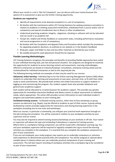

Where your result in a unit is '*Not Yet Competent*', you can discuss with your trainer/assessor the options of re-assessment or give you the further training opportunity.

## **Students are required to:**

- Identify all requirements to be deemed competent in a unit of competency
- Be familiar with the mechanisms within J2S Training Solutions for seeking assistance and advice in relation to problems in meeting assessment timeframes, withdrawal from a course and/or unit of competency and special consideration due to illness or other misadventure
- Understand practicing academic integrity plagiarism, cheating or collusion will not be tolerated and can result in an academic fail
- Accept fair, helpful and timely feedback on assessment tasks, including performance evaluation and course progression or unit of competency
- Be familiar with the Complaints and Appeals Policy and Procedure which includes the procedures for appealing academic decisions, as outlined on our website or in the Student Handbook
- Bring pen, paper and folder to class and any other materials as directed by your trainer
- Be suitably dressed for work placement should this be required.

# <span id="page-8-0"></span>**Flexible Learning Methodologies**

J2S Training Solutions recognises the principles and benefits of providing flexible approaches best suited to your individual learning style, job role and personal situation. Our programs are designed to maximise the opportunity for students to access learning content and assessments. Learning methodologies offered to enterprises are based on Industry/Employer consultation, enterprise training needs and are contextualised for individual enterprises as well as the required job role.

The following learning methods are examples of what may be used for our courses:

*Self-paced, online learning* **-** Individual log-ins for the Online Learning Management System (LMS) allows students to undertake their learning and assessments at own pace, and own time, to fit with their other study or work commitments. We provide both written and verbal instructions to support students in logging on and commencing the program. Our student support team also provides telephone and general (non-academic) support.

Each student will be allocated to a trainer/assessor for academic support. This provides you greater opportunity for immediate interactive feedback and allows trainers to adjust assessments to individual needs, where appropriate. The online LMS provides current information on each individual student's progress and automated updates on your training plan.

*Facilitated training sessions* **-** Facilitated training sessions, either face-to-face workshops or group sessions via electronic (e.g. Skype), may be offered to students as part of their course. A group setting facilitated by trainers provides opportunity for interactions and sharing learning experience in the workplace (including one-to-one visits and workshops).

Most our courses, in particular a traineeship, you will gain your practical work experience through onthe-job training and simulation. You will be assessed in relation to your workplace activities by your supervisor and our trainer.

You may also be required to attend training sessions/workshops at your worksite or off-site. Your trainer or supervisor will advise the type and scheduling if attendance is required at training sessions. Where there is a workplace training component, you will be issued with a Workplace Learning Log. You and your workplace supervisor will be required to regularly complete the Log to record the learning activities you complete in the workplace. It is essential that you complete the workplace component as part of your assessment.

If you are not employed, your study program may require you to undertake compulsory or voluntary work experience to demonstrate practical skills and competence. You will be assigned or advised about suitable places in industry where you can undertake practical components of your training and assessment. This will also require recording of workplace activities into a workplace log to be considered as part of your assessment.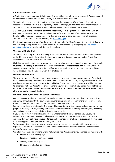

## <span id="page-9-0"></span>**Re-Assessment of Units**

A Student who is deemed '*Not Yet Competent*' in a unit has the right to be re-assessed. You are ensured to be satisfied with the fairness and accuracy of our assessment processes.

Students will need to repeat the unit where they have been deemed '*Not Yet Competent*' after a reassessment attempt. To achieve competency after a re-attempt, an additional assessment is required, J2S Training Solutions reserves the right to charge an additional unit re-enrolment fee.

J2S Training Solutions provides students the opportunity of two (2) attempts to complete a unit of competency. However, if the student still deemed as 'Not Yet Competent' on the second attempt, he/she will be required to participate in further training and to be re-assessed. This will attract an additional fee as outlined on the website, se[e Fees & Charges.](https://2cc4e78e-c485-4b1f-928d-3e093e7325a2.filesusr.com/ugd/1cc392_683c0908b58f4f929b4874034192ead7.pdf)

If a student has been advised after the second attempt to be '*Not Yet Competent*', but not satisfied with the result depending on the reasonable proof, the student may query or appeal (See *[Grievances,](https://2cc4e78e-c485-4b1f-928d-3e093e7325a2.filesusr.com/ugd/e3fe40_15064cb7f0614b4a9e71dcdcdc748dbf.pdf)  [Complaints & Appeals](https://2cc4e78e-c485-4b1f-928d-3e093e7325a2.filesusr.com/ugd/e3fe40_15064cb7f0614b4a9e71dcdcdc748dbf.pdf)* on the website or this handbook).

#### <span id="page-9-1"></span>**Working with Children**

Students participating in practical training in a workplace where they have direct contact with persons under 18 years of age in designated child-related employment areas, must complete a *Prohibited Employment Declaration* form on enrolment.

Eligibility for participation in some programs is based on information obtained through screening checks. Students participating in practicum placement which involves direct contact with children under 18 years of age without the presence of a qualified supervisor will be subject to a *Working with Children Check* as required by the State in which they are located.

#### <span id="page-9-2"></span>**National Police Check**

There are various qualifications that require work placement as a compulsory component of training It is now a mandatory requirement of Australian Skills Quality Authority (ASQA), state, territory and industry regulatory to have a clear and current National Police Check. In this circumstance, you will be required to undergo a National Police Check prior commencing work placement. **If you have a record of violent or sexual crime, fraud or theft, you will not be able to access the facilities and therefore would not be able to complete the qualification**.

#### <span id="page-9-3"></span>**Student Support, Welfare and Guidance Services**

Our trainers and student support staff are available to guide you towards your learning success. If you are having difficulties with the course material, managing your time, commitment your course, or any other academic related matter, do not hesitate to speak with our staff.

Support is provided to all students. The aim of this support may, within reason, include monitoring your progress, assisting with any learning or technical issues that may be hindering your progress, reviewing your training plan timelines and discussing planned activities.

If you are away from your studies, our Student Engagement Officer will contact you, usually via telephone, to determine the reason. Please use the opportunity to advise them of any barriers or concerns that may be hindering your attendance. Remember, we are here to support you moving closer to achieving your career goal by completing this course.

Trainees undertaking their training in the workplace will be regularly monitored by their trainer or supervisor. Trainers may conduct over-the-phone oral interviews or assessments and may schedule face-to-face workplace visits.

We allow reasonable adjustments within ASQA guidelines. Adjustments may be made for students with:

- English as a second language
- Language, literacy or numeracy needs
- Sensory diminished capacity
- Physical or intellectual disabilities.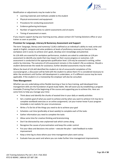

Modification or adjustments may be made to the:

- Learning materials and methods suitable to the student
- Physical environment and equipment
- Procedures for conducting assessment
- Evidence gathering techniques
- Number of opportunities to submit assessments and sit exams
- Timing of assessment or exam.

If you require support during your learning journey, please contact J2S Training Solutions office or your trainer as soon as possible.

## <span id="page-10-0"></span>**Provision for Language, Literacy & Numeracy Assessment and Support**

The term '*language, literacy and numeracy*' (LLN) is defined as an individual's ability to read, write and speak in English, compute and solve problems at levels of proficiency necessary to function in the workplace and in social, to achieve one's goals, develop one's knowledge and potential.

As LLN skills are essential for workplace performance, students are asked to undertake an LLN preassessment to identify any needs that may impact on their course progress or outcomes. LLN assessment is conducted at the appropriate qualification level. LLN may be assessed in writing, online and/or by interview. The outcome of LLN assessment remains in the student's file as evidence. Should a student demonstrate the needs for assistance, further detailed assessments may be made.

Where the level of LLN skill identified the student at risk of unsuccessful completion of the course/program, a discussion will be held with the student to advise them if it is considered necessary to defer the enrolment until further skill development is undertaken, or if a different course may be more applicable. If the student is in a traineeship the employer will also be consulted.

#### <span id="page-10-1"></span>**Time Management**

Whether you are undertaking online flexible learning or face to face training, well-developed time management skills are the foundation of good study habits. We will assist you by establishing a program timetable (Training Plan) at the beginning of the course and supporting you to achieve this. Here are some hints to help you manage your time:

- Think about and identify the chunks of wasted time in your daily or weekly activities
- Set a realistic goal of what you want to achieve and by when you want to achieve it (it may be to complete workbook exercises or an online assignment). Let your trainer know if your program timetable is not realistic for your circumstances
- Write a To Do list of the things you need to do to achieve your goal
- Schedule a set time (preferably at least weekly) to complete each of the tasks
- Gather information you need to complete the tasks
- Allow some time for creative thinking and brainstorming
- Don't be distracted by new unplanned task which comes along
- Recognise the causes of procrastination and keep this under control
- Put your ideas and decisions into action execute the plan seek feedback to make improvement
- Keep a time log to show where your time management plans went astray
- Evaluate how you went and where you can make further time management improvements.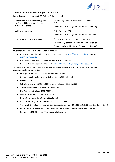

## <span id="page-11-0"></span>**Student Support Services – Important Contacts**

For assistance, please contact J2S Training Solutions' staff:

| Support to achieve your study goals.<br>e.g. Study skills, Language/Literacy/<br><b>Numeracy Support</b> | J2S Training Solutions Student Engagement<br>Officer<br>Phone 1300 818 121 (Mon - Fri 9:00am - 4:00pm)                                                 |
|----------------------------------------------------------------------------------------------------------|--------------------------------------------------------------------------------------------------------------------------------------------------------|
| <b>Making a complaint</b>                                                                                | Chief Executive Officer<br>Phone 1300 818 121 (Mon - Fri 9:00am - 4:00pm)                                                                              |
| Requesting an assessment appeal                                                                          | Speak to you trainer and request a review.<br>Alternatively, contact J2S Training Solutions office.<br>Phone: 1300 818 121 (Mon - Fri 9:00am - 4:00pm) |

Students with LLN needs may also wish to contact:

- Australian Council of Adult Literacy on (03) 9469 2950[. http://www.acal.edu.au](http://www.acal.edu.au/) or email [acal@pacific.net.au](mailto:acal@pacific.net.au)
- NSW Adult Literacy and Numeracy Council on 1300 655 506
- Reading Writing Hotline 1300 6 555 06<https://www.readingwritinghotline.edu.au/>

Students requiring urgent non-academic help when J2S Training Solutions is closed, may consider accessing the following services:

- Emergency Services (Police, Ambulance, Fire) on 000
- 24-hour Telephone Counselling Distress Call on 1300 364 454
- Lifeline on 131 114
- Salvo Care Line on (02) 9331 6000 or outside Sydney 1300 36 3622
- Salvo Prevention Crisis Line on (02) 9331 2000
- Men's Line Australia on 1300 789 978
- Sexual Assault Helpline on 1800 010 120
- Domestic Violence DV LINE on 1300363 550
- Alcohol and Drug Information Service on 1800 177 833
- Victims of Crime Support Line Victims Support Service on (02) 8688 551/1800 633 063 (8am 5pm)
- Mental Health Services telephone the Mental Health Access Line on 1800 636 825 (free call)
- Centrelink 13 10 21 or http://www.centrelink.gov.au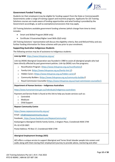

# <span id="page-12-0"></span>**Government Funded Training**

Students (or their employers) may be eligible for funding support from the State or Commonwealth Governments under a range of training support and incentive programs. Applicants for J2S Training Solutions courses are made aware of funding opportunities and what funding is provided by the Government accordingly, as well as exemptions/concessions that may apply.

J2S Training Solutions available government funding schemes (which change from time to time) includes:

- Smart and Skilled Program (NSW only)
- Certificate 3 Guarantee/Higher Level Skills (QLD only)

J2S Training Solutions' representative will discuss the eligibility criteria, fees and Refund Policy and any further funding information for these schemes with you prior to your enrolment.

#### <span id="page-12-1"></span>**Supporting Australian Indigenous Students**

The following services may be of assistance to Indigenous students:

**Link-Up NSW** <https://www.linkupnsw.org.au/> Link-Up (NSW) Aboriginal Corporation was founded in 1980 to assist all aboriginal people who had been directly affected by past government policies. Link-Up (NSW) runs five programs:

- o [Reunification Program](http://linkupnsw.org.au/reunification-2/) [\(https://www.linkupnsw.org.au/reunification/\)](https://www.linkupnsw.org.au/reunification/)
- o [Family-Link](http://linkupnsw.org.au/family-link-2/) [\(https://www.linkupnsw.org.au/family-link-2/\)](https://www.linkupnsw.org.au/family-link-2/)
- o [Hidden Carers](http://linkupnsw.org.au/hidden-carers/) (https://www.linkupnsw.org.au/hidden-carers/)
- o [Community Builders](http://linkupnsw.org.au/community-builder/) (https://www.linkupnsw.org.au/community-builder/)
- o [Royal Commission Counsellor](http://linkupnsw.org.au/royal-commission-counsellor/) [\(https://www.linkupnsw.org.au/royal-commission-counsellor/\)](https://www.linkupnsw.org.au/royal-commission-counsellor/)

#### **Department of Human Services – Indigenous Australians**

<https://www.humanservices.gov.au/individuals/indigenous-australians>

Payment and Service finder is found at this link to help you locate services such as:

- o Centrelink
- o Medicare
- o Child Support

#### **Nepean Community Centre**

<https://www.nepeancommunity.org.au/>

Email: [info@nepeancommunity.org.au](mailto:info@nepeancommunity.org.au)

Facebook:<https://www.facebook.com/NepeanCommunity/>

Koolyangarra Aboriginal Child & Family Centre, 1 Kington Place, Cranebrook NSW 2749

Ph: 02 4729 3907.

Postal Address: PO Box 17, Cranebrook NSW 2749

#### **Aboriginal Employment Strategy (AES)**

AES offers a unique service to support Aboriginal and Torres Strait Islander people into careers and walks along with them during their employment journey to provide advice, mentoring and other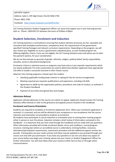

specialist support. Address: Suite 3, 295 High Street, Penrith NSW 2750 Phone: 9852 2700 Facebook: <https://www.facebook.com/AESPenrith/>

J2S Training Solutions Student Engagement Officer can assist and support you in your learning journey with us. Phone: 1300 818 121 between the hours of 9:00am-4:00pm

# <span id="page-13-0"></span>**Student Selection, Enrolment and Induction**

J2S Training Solutions is committed to ensuring that student selection processes are fair, equitable and consistent with workplace performance, competency level, the requirements of the government specified Training Packages and relevant curriculum requirements. Depending on the program, we will also review your eligibility to access a government subsidised place, as each funded program has differing eligibility criteria. If you are not eligible, the J2S Training Solutions team will advise you of other fee payment options, for your consideration.

We do not discriminate on grounds of gender, ethnicity, religion, political belief, family responsibility, sexuality, social or educational background.

Enrolment criteria in selected courses or programs may have entry or pre-requisite requirements which are clearly publicised. Pre-entry assessment are used to determine whether applicants have appropriate LLN skills to enable a successful outcome in their chosen course.

Selection into training programs is based upon the student:

- Satisfying applicable funding body criterion or opting for fee-for-service arrangements
- Meeting required pre-requisite qualifications and experience, including LLN skills
- Agreement to abide by the organisation policies, procedures and code of conduct, as outlined in this Student Handbook
- Payment of any initial and agreed fees and charges.

# <span id="page-13-1"></span>**Admission Refusal**

Applicants refused admission to the course can submit an appeal. Applicants should contact J2S Training Solutions office directly or refer to the grievance and appeals process located in this handbook.

# <span id="page-13-2"></span>**Enrolment and Course Orientation**

Students are required to complete an Enrolment Application form. When your enrolment application is received, it is assessed, and you will be advised of your acceptance or non-acceptance into the course. Induction and orientation are provided to students at enrolment.

All students must participant in course induction or orientation prior to starting their training program either in person or over the phone. Induction includes a brief review of information contained in this handbook – it is important that you have read through this handbook and are ready with any questions. Other information provided will include enrolment details, terms and conditions, course/program structure, training plan (where an accredited course is undertaken), training facilities, resources, attendance/participation requirements, assessment procedure and the additional support services we provide. Training plans are your study contract and these may be updated as you proceed through your course, but only with your permission. If you have any questions or are not sure about any aspect of your course before you begin your training, please ask your trainer or Student Engagement Officer for further information. You will most likely meet your trainer/s either face-to-face or through online communications.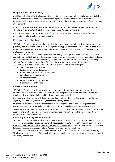

# <span id="page-14-0"></span>**Unique Student Identifier (USI)**

A USI is required by all Australians undertaking nationally recognised training. It allows students link to a secure online record of all qualifications gained regardless of the provider. This system was implemented by the Australian Government in 2015, it will show student achievements from 1 January 2015 onwards.

As an RTO, J2S Training Solutions cannot issue Certificates or Statements of Attainment without a USI. Therefore, it is mandatory that all students supply their USI upon enrolment.

If you do not have a USI, please visit [https://www.usi.gov.au/students/create-your-usi f](https://www.usi.gov.au/students/create-your-usi)or more information, and instructions on how to apply.

# <span id="page-14-1"></span>**Consumer Protection**

J2S Training Solutions is committed to ensuring the protection of its students' rights as consumers in providing accurate information in the marketplace. We apply a systematic approach to our consumer protection strategy, we have processes and systems in place for the transparency of operations to protect our consumers.

J2S Training Solutions will provide the necessary training and support to allow the students achieve competency, quality training and assessment experience for all customers, a clear, accessible feedback and consumer protection system including an identified Consumer Protection Officer (J2S Training Solutions' CEO), maintain procedures for protecting consumers' personal information. J2S Training Solutions Consumer Protection Policy covers the following strategies:

- The provision of information
- Protection of fees paid in advance
- Withdrawal from your course and refunds
- Complaints and appeals system
- Customer feedback
- Protecting personal information
- Discontinuance of training

#### <span id="page-14-2"></span>**Provision of Information**

J2S Training Solutions provides transparent and accurate information to its students and clients. Students can make informed decisions about their training and assessment requirements, enter a training pathway that is suitable and free from discriminatory barriers.

Prospective students are provided with pre-enrolment information including any pre-requisites and eligibility requirements, census dates, fees for the training program.

Students are provided with a variety of modes in accessing information required to protect their consumer protection rights, including induction sessions, physical materials and online materials.

Where a student is under the age of 18 years, a Parent or Guardian is encouraged to attend information sessions and must co-sign all enrolment forms. For more information, see the Student Selection, Enrolment and Induction section.

#### <span id="page-14-3"></span>**Protecting Fees being Paid in Advance**

J2S Training Solutions acknowledges that it has a responsibility to protect fees paid by students. To meet our responsibilities J2S Training Solutions will not accept payments over \$1,500 (no GST applies) from each individual student prior to the commencement of the course. More information about J2S Training Solutions Fees and Charges and Refund Policies are in this Student Handbook.

All students will receive an itemised invoice which clearly outlines the fees and any additional charges. This invoice is issued as part of the application process and it is the student's responsibility to check and clarify any unclear items.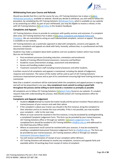

# <span id="page-15-0"></span>**Withdrawing from your Course and Refunds**

Should you decide that this is not the course for you, J2S Training Solutions has in place a **Student** [Withdrawal procedure,](https://www.j2s.edu.au/_files/ugd/e3fe40_1749a012338a4f4980aecf4b128320af.pdf) available on website. Should you decide to withdraw, you will need to follow this procedure, by completing the J2S Training Solutions [Withdrawal Form,](https://2cc4e78e-c485-4b1f-928d-3e093e7325a2.filesusr.com/ugd/e3fe40_a2b7936ccdcc424ab9198dad44ce78a9.pdf) which is available on our website or by contacting our office. As part of your withdrawal, you may be eligible to receive a refund, in line with J2S Training Solutions [Refunds Policy](https://www.j2s.edu.au/_files/ugd/e3fe40_61d5423a529440f6aa40d374e433b5e7.pdf) in this Student Handbook.

#### <span id="page-15-1"></span>**Complaints and Appeals**

J2S Training Solutions strives to provide its customers with quality services and outcomes, if a complaint does arise, J2S Training Solutions has in place a Grievance, Complaints and Appeals Policy and [Procedure.](https://www.j2s.edu.au/_files/ugd/e3fe40_15064cb7f0614b4a9e71dcdcdc748dbf.pdf) We are committed to acting on each substantiated complaint, concern or appeal. This policy is available on our website.

J2S Training Solutions use a systematic approach to deal with complaints, concerns and appeals. All concerns, complaints and appeals are dealt with fairly, honestly, without bias, in a professional and fully documented manner.

Students may make a complaint about both academic and non-academic matters which may include (but are not limited to):

- Post-enrolment processes (including induction, orientation and enrolment)
- Quality of training offered (trainers/assessors, resources and facilities)
- Academic issues (intervention strategy, assessment and attendance)
- Access and handling student records
- Treatment received from staff including trainers/assessors and other students.

A written record of all complaints and appeals is maintained, including the details of lodgement, response and resolution. The nature of the matter will be used as part of J2S Training Solutions continuous improvement process and as part of its commitment ensuring high level training services are maintained.

Note that a student's enrolment will be maintained while the complaints and appeal process in ongoing and will not be jeopardised in any way. **Any complainant must commit to acting in good faith throughout the process and be willing to work towards a resolution as promptly as possible**.

All complaints are to follow J2S Training Solutions [Complaint Policy](https://www.j2s.edu.au/_files/ugd/1cc392_679f6be064ed49eb98eaa0d4e0d4ba56.pdf) found on our website. If a student requires help with understanding this process, they should contact J2S Training Solutions office for assistance.

#### <span id="page-15-2"></span>**Complaints and Appeals Lodgement**

- Students**should** attempt to resolve thematter locally and the person involved. Please advise your trainer/assessor of your concern and seek their advice
- If the complaint is about your trainer you should in the first instance, bring the complaint to their attention and try to resolve the issue amicably. If this is not possible, you may escalate your complaint – refer to the next step
- Where an issue cannot be resolved in the first instance, it may be escalated by sending/emailing a completed Complaint Lodgement Form. This form can be provided by your trainer/assessor, J2S Training Solutions office or through our website: [Complaint Lodgement Form.](https://www.j2s.edu.au/_files/ugd/1cc392_679f6be064ed49eb98eaa0d4e0d4ba56.pdf) The completed form should be emailed to J2S Training Solutions [info@j2s.edu.au](mailto:info@j2s.edu.au) and addressed to the Chief Executive Officer (CEO)
- Where an assessment result cannot be resolved with your assessor, it may be escalated by emailing a completed Assessment Outcome Lodgement Form to [info@j2s.edu.au.](mailto:info@j2s.edu.au) The form can be provided by your trainer/assessor, J2S Training Solutions office or through our website: [Assessment](https://2cc4e78e-c485-4b1f-928d-3e093e7325a2.filesusr.com/ugd/1cc392_edc300a73db74f1a91a1cb47799f38b9.pdf) Outcome Appeal form
- You will receive confirmation of receipt of your complaint within 48 hours
- J2S Training Solutions will attempt to resolve any complaints, concerns and appeals fairly and equitably within 10 working days from receipt of notice of complaint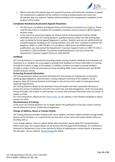

• Where more than 30 calendar days are required to process and finalise the complaint or appeal, the complainant or appellant will be notified in writing including reasons why more than 30 calendar days are required. Updates will be provided to the complainant or appellant on the progress of the matter.

# <span id="page-16-0"></span>**Complaints Resolution/Assessment Appeals Resolution**

- The Grievance, Complaints and Appeals Policy and Procedure is located on our [website.](https://www.j2s.edu.au/) Please read this document as it explains the complaints resolution process and your right to appeal a decision made
- In the case of an assessment appeal, an internal review of the assessment will be initially undertaken by one of J2S Training Solutions' qualified assessors within ten (10) working days upon receiving the formal appeal lodgement in written. Students who are not satisfied with the complaint/appeals handling by J2S Training Solutions may refer their complaint to National VET Regulator, ASQA, on 1300 701 801; or if enrolled in a NSW Smart and Skilled funded qualification, you may contact the Department's Customer Support Centre on 1300 772 104; or if enrolled in a QLD Certificate 3 Guarantee funded qualification, you may contact the Department's Customer Support Centre on 1300 369 935.

## <span id="page-16-1"></span>**Feedback**

J2S Training Solutions is committed to providing quality training, students' feedback and evaluation are important to us. Students are encouraged to provide their feedback to trainers informally or in writing through the Contact Us page on the website. In addition, students are asked to provide feedback through a number of internal and external surveys including ASQA Learner Questionnaire and NCVER Student Outcome Survey.

#### <span id="page-16-2"></span>**Protecting Personal Information**

J2S Training Solutions collects personal information for the purpose of: employment or education, satisfying legal obligations, administration, to keep employers informed of the student's course progress, allow J2S Training Solutions to discharge its duty of care and in order to meet government reporting requirements.

J2S Training Solutions abides by the Australian Privacy Principles and takes reasonable measures to protect the privacy of individuals and staff in line with state and federal legislation. Under the Australian Privacy Principles, the student or staff member can access their personal information and may correct or update on them.

For more information, please see the **Privacy Policy**, on our website, in this Student Handbook or please contact our office.

#### <span id="page-16-3"></span>**Discontinuance of training**

In the event J2S Training Solutions can no longer deliver the qualification or the class cannot continue, we will advise the learners of alternate arrangements.

# <span id="page-16-4"></span>**Change of Address, Name or Contact Details**

J2S Training Solutions provides students with course updates and other related activities through emails, phone and formal letters. It is essential that we have your correct name and contact details while you enrolling with us.

If you change address, name or contact details after enrolment, please notify J2S Training Solutions within seven days. Our contact details can be found at the first page of this handbook. If a certificate or Statement of Attainment is lost in the mail due to failure of updating your contact details, a reissuance fee will apply. See our website[, Fees & Charges f](https://2cc4e78e-c485-4b1f-928d-3e093e7325a2.filesusr.com/ugd/1cc392_683c0908b58f4f929b4874034192ead7.pdf)or details.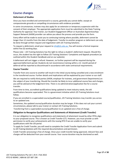

# <span id="page-17-0"></span>**Course changes**

# <span id="page-17-1"></span>**Deferment of Studies**

Once you have enrolled and commenced in a course, generally you cannot defer, except on compassionate grounds or compelling circumstances with evidence provided.

In some circumstances, trainees may also apply for an extension or temporary suspension with the consent of their employer. The appropriate application form must be submitted to the State Training Authority for approval. Your trainer, our Student Engagement Officer or Australian Apprenticeships Support Network (AASN) provider can advise you about the process and provide you the form.

Every effort will be made to assist you to continuing training where possible, deferment cannot be longer than 12 months from the date of lodgement. Transfer to another program or deferment can only be done through written request and negotiation with J2S Training Solutions.

To request a deferment, email your request to [info@j2s.edu.au.](mailto:info@j2s.edu.au) You will receive a formal response within five (5) working days.

Please note – J2S Training Solutions has the right to refuse a student's deferment request. Should this occur, the student has the right to follow J2S Training Solutions' Complaints and Appeals procedure (as outlined within this Student Handbook and on our website).

A deferment will not trigger a refund. However, no further payment will be required during the approved deferment period. Students do not recommence training within a 12- month period of deferral will be reported as discontinued in accordance with state contractual requirements.

## <span id="page-17-2"></span>**Course Transfer**

Transfer from one course to another will result in the initial course being cancelled and a new enrolment in the transferred course. Further details and implications will be explained by your trainer or our staff.

We are required to notify third parties (AASN, employer for trainees, and government Departments) on the subject of your transferring. Should the transfer be likely to incur additional course fees and charges, you will be advised at the lodgement time. There is no administration/application fee for a course transfer.

From time to time, accredited qualifications being updated to meet industry needs, the old qualifications become superseded. This is a government initiative which J2S Training Solutions must follow.

If you are enrolled in a superseded course/qualification, J2S Training Solutions may transfer you across to an updated one.

Sometimes, the updated course/qualification duration may be longer. If this does not suit your current circumstances, please talk to your trainer or contact J2S Training Solutions.

Transferring from a superseded course/qualification to an updated one is free of charge.

# <span id="page-17-3"></span>**Obligation to Recognise Qualifications and Statements of Attainment (Credit Transfer)**

It is our obligation to recognise qualifications and statements of attainment issued by other RTOs align to your proposed course. This is known as Credit Transfer (CT). However, you must provide us with permission to verify your achievements with the issuing RTO if we are unable to verify your qualifications with the USI portal.

To apply for Credit Transfer, you will need to complete the Credit Transfer Application Form and submit to J2S Training Solutions with the required documentations and permission.

Credit Transfer processing is free of charge. Once your credit transfer being approved, relevant fees and charges will be deducted from your overall course. Your course duration may be shortened as well.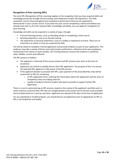

# <span id="page-18-0"></span>**Recognition of Prior Learning (RPL)**

The term RPL (*Recognition of Prior Learning*) applies to the recognition that you have acquired skills and knowledge previously through formal training, work experience and/or life experience. This skills acquisition can be measured against the competency performance that you are expected to demonstrate in your current course. If you look into your course competency criteria and believe you already have part or all of the required skills, knowledge and ability, you can apply for recognition of prior learning.

Knowledge and skills can be acquired in a variety of ways, through:

- A formal learning process, such as attending school or completing a short course
- Working experience, such as on the job training
- Life experience or personal experience, such as a hobby or experience at home. There are no restrictions on where or how you acquired the skills.

You will be asked to complete a formal application and provide evidence as part of your application. This evidence may take a variety of forms and could include certifications, references from past employers, testimonials from clients or work samples. J2S Training Solutions ensures the evidence is authentic, valid, reliable, current and sufficient.

The RPL process as follows:

- The applicant is informed of the course content and RPL process prior to/or at the time of enrolment.
- Applicants are invited to verbally discuss their RPL application. The purpose of this is to ensure the potential RPL applicant is fully aware of the RPL process.
- If the applicant decides to proceed with RPL, upon payment of the prescribed fee, they will be issued with an RPL kit, containing:
	- $\circ$  an RPL application form, outlining the information about the application and the units of competency they are making claim for
	- o a guide of evidence that the student will need to provide to support his/her PRL application.

There is a cost to administering an RPL process, based on the review of the applicant's portfolio and, in some instances, practical skills. RPL fees are charged based on the actual cost of services to be provided and are determined on a case by case basis. Applicants are advised of the fees at the time of application.

For any subsidised or funded program, you should discuss arrangements prior to applying for an RPL as RPL is not funded by such bodies.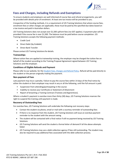

# <span id="page-19-0"></span>**Fees and Charges, including Refunds and Exemptions**

To ensure students and employers are well informed of course fees and refund arrangements, you will be provided with details prior of enrolment. At least one tax invoice will be provided to you.

Irrespective of the funding methods, it is a requirement of J2S Training Solutions that where course fees, enrolment fees or other charges are applicable, these must be paid by the specified due dates based on a tax invoice and paid in Australian dollars.

J2S Training Solutions does not accept over \$1,500 upfront fees (no GST applies). A payment plan will be provided if the course fee is over \$1,500. The balance must be paid before course completion. J2S Training Solutions accepts the following payment methods:

- Credit Card
- Direct Debit (by Ezidebit)
- Direct Bank Transfer

Please contact J2S Training Solutions for details.

## <span id="page-19-1"></span>**Traineeships**

Where tuition fees are applied to traineeship training, the employer may be charged the tuition fee on behalf of the student according to the Training Proposal Agreement signed between J2S Training Solutions and the employer.

## <span id="page-19-2"></span>**Conditions of Eligible Refunds and Payment**

Please refer to our website, for the [Student Fees, Charges and Refund Policy.](https://2cc4e78e-c485-4b1f-928d-3e093e7325a2.filesusr.com/ugd/e3fe40_61d5423a529440f6aa40d374e433b5e7.pdf) Refund will be paid directly to the student or the person originally making the payment.

#### <span id="page-19-3"></span>**Non-payment of Fees**

Late payment may incur a penalty. Failure to pay the course fees within 14 days of the final notice by either the student or their employer may result in any or all the following, until the full amount is paid:

- Suspension from attending/participating in the course
- Inability to receive your Certificate or Statement of Attainment
- Report of breaching a Training Contract (Trainees and Apprentices).

Where a student's payment is overdue more than thirty (30) days, J2S Training Solutions reserves the right to suspend the training until payment is made.

#### <span id="page-19-4"></span>**Recovery of Outstanding Fees**

For overdue fees, J2S Training Solutions will undertake the following cost recovery steps:

- Contact the student via phone, email or mail with a courtesy reminder of outstanding fees
- If there is no response from the student, J2S Training Solutions will issue an overdue payment reminder to the student with the amount owing
- The student will be contacted with a final notice if still no payment being received by J2S Training **Solutions**
- J2S Training Solutions will send the student a formal letter of demand if all the above attempts failed
- J2S Training Solutions may use a debt collection agency if fees still outstanding. The student may also be required to pay additional fees associated with the debt collection process.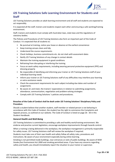

# <span id="page-20-0"></span>**J2S Training Solutions Safe Learning Environment for Students and Staff**

J2S Training Solutions provides an adult learning environment and all staff and students are expected to act responsibly.

It is expected all the staff, trainers and students respect each other and ensuring a safe working/training environment.

Staff, trainers and students must comply with Australian laws, state laws and the regulations of statutory bodies.

The Policies and Procedures of J2S Training Solutions also form an important part of the Code of Conduct. It is expected that all students to:

- Be punctual at training, notice your leave or absence at the earliest convenience
- Keep training venues clean and tidy
- Understand the course requirements
- Check holidays, business commitments etc. do not clash with assessment dates
- Notify J2S Training Solutions of any change in contact details
- Maintain the training equipment in good conditions
- Refraining from disrupting or interfering the training
- Focus on work safety requirements, including wearing personal protective equipment (PPE) and dressing properly
- Be responsible of identifying and informing your trainer or J2S Training Solutions staff of your individual learning needs
- Inform your trainer or J2S Training Solutions staff of any difficulties may interfere your learning or extra assistance needs
- Check the assessment requirements for each subject including due dates and number of assignments
- Be aware of, and meet, the trainers' expectations in relation to submitting assignments, attendance, communication, negotiation and problem-solving strategies
- Comply with J2S Training Solutions 's policies and procedures.

# **Breaches of the Code of Conduct shall be dealt under J2S Training Solutions' Disciplinary Policy and Procedure**.

Should a student believe that another student, staff member or related person is not behaving in accordance with this Code of Conduct, the student has the right to commence the Complaints and Appeals process, as outlined on our website. The Code of Conduct is listed on page 26 - 30 in this Student Handbook.

#### <span id="page-20-1"></span>**General Health and Well-Being**

J2S Training Solutions is committed to providing a safe and healthy work/training environment. We endorse and practice current legislation, encourage workplace improvements through hazards control.

When a training is being delivered in the workplace, the workplace management is primarily responsible for safety issues. J2S Training Solutions staff will review the workplace if required.

Students must take care of their own health and safety follow all safety rules, procedures and instructions. Be aware of your environment especially during online learning.

Smoking is not permitted inside buildings, near entrances or exits of public buildings. Be aware of *NSW Smoke-free Environment Act 2000* and smoking permitted areas. If you have any concerns regarding safety and health, you should immediately report the situation to your trainer or supervisor.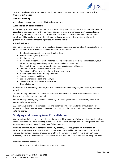

Turn your irrelevant electronic devices OFF during training. For exemptions, please discuss with your trainer prior the class.

# <span id="page-21-0"></span>**Alcohol and Drugs**

Alcohol and drugs are not permitted in training premises.

#### **Accidents and Critical Incidents**

In the event you have accident or injury whilst undertaking your training in the workplace, this **must be reported** to your supervisor or trainer immediately. All injuries in a workplace **must be reported**, no matter major or minor. This is to ensure adequate protections. Complete an Accident Report Form which should be available at worksites. Should the injury require medical treatment, the medical practice must be advised that the injury occurred in the workplace.

#### <span id="page-21-1"></span>**Critical Incidents**

J2S Training Solutions has policies and guidelines designed to ensure appropriate actions being taken in critical incidents. Critical incidents could include but not limited to:

- Death/suicide, severe injury or any threat of these
- Serious accident, injury or illness
- Missing student
- Deprivation of liberty, domestic violence, threats of violence, assault, rape/sexual assault, drug or alcohol abuse, aggravated burglary, biological or chemical weapons
- Fire, bomb-threat, explosion, gas/chemical hazards, discharge of firearms
- Threat of widespread infection or contamination
- Students or staff lost or injured during fieldwork excursions
- Disrupt operations of J2S Training Solutions
- Serious damage to facilities
- Serious Workplace Health and Safety risk
- Severe verbal or psychological aggression
- Natural disaster.

If the incident is on training premises, the first action is to contact emergency services: fire, ambulance or police.

The J2S Training Solutions' CEO should be contacted immediately when an incident involves serious injury, threat to life, property or death.

Should you experiencing any personal difficulties, J2S Training Solutions will make every attempt to accommodate your needs.

J2S Training Solutions has a compassionate and understanding approach to the difficulties of our participants. If your needs exceed our capacity, J2S Training Solutions will refer you to an appropriate external agency.

# <span id="page-21-2"></span>**Studying and Learning in an Ethical Manner**

<span id="page-21-3"></span>Our everyday relationships and practices are based on ethical standards. When you study and learn in an ethical environment your learning experience is enhanced through honest, transparent and fair interactions with your trainer/assessor and fellow students.

Unethical behaviour such as academic dishonesty (cheating, copying, plagiarism, fabrication or falsification, sabotage of another's work) is not acceptable and will be dealt with in accordance with J2S Training Solutions policies and procedures. Unethical behaviour can result in your enrolment being cancelled, and/or in the enrolment of the person who assisted the unethical behaviour being cancelled.

Unethical behaviour includes:

• Copying or attempting to copy someone else's work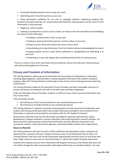

- Knowingly allowing someone else to copy your work
- Submitting work of another person as your own

• Using information prohibited for use such as copyright material, intellectual property (IP), business restricted materials, etc, except where permitted for study purposes and the source of the information is fully disclosed

• Plagiarism, which includes:

o Copying or quoting from a source such as a book, an article or the Internet without acknowledging the source of the information

- o Handing in someone else's work as your own
- o Stealing or passing off another person's words or ideas as your own
- o Giving incorrect information about the source of your work
- o Downloading and using information from the Internet without acknowledging the source
- o Copying another person's work (either published or unpublished) and submitting it as your own
- o Presenting as a new and original idea something derived from an existing source.

If you are unsure if your work may breach ethical standards, discuss this with your trainer/assessor who will provide guidance on this issue.

# <span id="page-22-0"></span>**Privacy and Freedom of Information**

J2S Training Solutions collects personal information for the purpose of employment or education, satisfying legal obligations, administration, to keep employers informed of the student's academic progress, allow J2S Training Solutions to discharge its duty of care and to meet government reporting requirements.

J2S Training Solutions abides by the Australian Privacy Principles and takes reasonable measures to protect the privacy of individuals and staff in line with state and federal legislation.

Under the Australian Privacy Principles, students or staff can access his/her personal information and may correct them.

These principles include:

- Non-disclosure of your personal details to any unauthorised person, and
- Non-disclosure of student details to any unauthorised person.

J2S Training Solutions is required to provide Commonwealth and State Government Authorities with student and training activity data which may include information provided in your enrolment form. Information is required to be provided in accordance with the VET Quality Framework.

Government authorities may use the information provided for planning, administration, policy development, program evaluation, resource allocation, data reporting and/or research activities. For these and other lawful purposes, Government Authorities may also disclose information to its consultants, advisers, other government agencies, professional bodies and/or other organisations.

# <span id="page-22-1"></span>**Access to Records**

J2S Training Solutions will retain records of AQF certification documentation and/or statements of attainment for a period of 30 years. Students will have access to all information held on them. J2S Training Solutions will store and use the information appropriately and limit access to only those who have a legal reason to have access to that information, or whom the student has given permission.

Students who request access to their information will be given full access to the details they want. No cost will be charged for them accessing their information whilst they are enrolled students. You may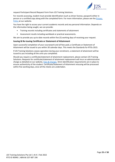

request Participant Record Request Form from J2S Training Solutions.

For records accessing, student must provide identification (such as driver license, passport) either in person or a certified copy along with the completed form. For more information, please see the Privacy [Policy](https://2cc4e78e-c485-4b1f-928d-3e093e7325a2.filesusr.com/ugd/e3fe40_0d3ccc01ccfb4b0aba5f02c1a25772ff.pdf) at our website*.*

You have the right to access your current academic records and any personal information. Depends on the information being sought, we can provide:

- Training records including certificates and statements of attainment
- Assessment results including workbook or practical assessments.

We aim to provide you up to date records within five (5) working days of receiving your request.

## <span id="page-23-0"></span>**Issuing & Re-issuing Certificate or Statement of Attainment**

Upon successful completion of your coursework and all fees paid, a Certificate or Statement of Attainment will be issued to you within 30 calendar days. This meets the Standards for RTOs 2015.

If J2S Training Solutions ceases operation during your enrolment, a statement of attainment will be issued to you including all the units you completed.

Should you require a certificate/statement of attainment replacement, please contact J2S Training Solutions. Requests for certificate/statement of attainment replacement will incur an administrative charge as detailed on our website, [Fees & Charges.](https://2cc4e78e-c485-4b1f-928d-3e093e7325a2.filesusr.com/ugd/1cc392_683c0908b58f4f929b4874034192ead7.pdf) Strict identification requirements are in place to ensure authenticity of the student. Certificate/Statement of Attainment reissuing will be processed within five working days, once all the checks are undertaken.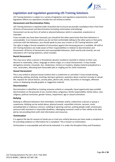

# <span id="page-24-0"></span>**Legislation and regulation governing J2S Training Solutions**

J2S Training Solutions is subject to a variety of legislative and regulatory requirements. Current legislation effects our operations includes but not limited as below:

## <span id="page-24-1"></span>**Harassment and Discrimination Policy**

J2S Training Solutions isrequired under Australian law to ensure we provide a workplace that is free from all forms of harassment and discrimination (including victimisation and bullying).

Harassment can be any form of verbal or physical behaviour which is unwanted, unwelcome or improper.

If you consider you have been harassed, you should let the other party know that their behaviour is unacceptable. In an instance where you do not feel comfortable talking to the other party or that party continues with the behaviour, you should speak to your your trainer or J2S Training Solutions staff.

The right to lodge a formal complaint of misconduct against the harassing person is available. All staff at J2S Training Solutions are made aware of their responsibilities in relation to discrimination and harassment. All forms of harassment and unacceptable behaviour, both overtly and covertly, are not tolerated in J2S Training Solutions, which includes:

#### <span id="page-24-2"></span>**Racial Harassment**

This may occur when a person is threatened, abused, insulted or taunted in relation to their race, descent or nationality, colour, language or ethnic origin, or a racial characteristic. It may include derogatory remarks, innuendo, slur, intolerance, mimicry or mockery, display material prejudicial to a race, racial jokes, allocating least favourable jobs or singling out for unfair treatment.

#### <span id="page-24-3"></span>**Sexual Harassment**

This is any verbal or physical sexual conduct that is unwelcome or uninvited. It may include kissing, embracing, patting, pinching, touching, leering or gestures, questions about a person's private or sexual life, requests for sexual favours, smutty jokes, phone calls, emails, facsimiles or messages, offensive noises or displaying sexually graphic or suggestive material.

#### <span id="page-24-4"></span>**Discrimination**

Discrimination is identified as treating someone unfairly or unequally. Equal opportunity laws prohibit discrimination on the grounds of sex, marital status, pregnancy, family responsibility, family status, race, religious, political conviction, gender history, impairment, age or sexual orientation.

#### <span id="page-24-5"></span>**Bullying**

Bullying or offensive behaviour that intimidates, humiliates and/or undermines a person or group is unwelcome. Bullying can be verbal abuse, physical assault, unjustified criticism, sarcasm, insult, spreading false or malicious rumours, isolating or ignoring a person, putting people under unnecessary pressure with overwork or impossible deadlines, sabotaging someone's work or their ability to do their job by not providing them with vital information and resources.

#### <span id="page-24-6"></span>**Victimisation**

It is against the law for anyone to hassle you or treat you unfairly because you have made a complaint or for providing evidence or information for a complaint. This is known as victimisation.

Victimisation is unacceptable and will not be tolerated. It is under the Discipline Policy and Procedure.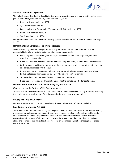

## <span id="page-25-0"></span>**Anti-Discrimination Legislation**

The following Acts describe the illegality to discriminate against people in employment based on gender, gender preference, race, skin colour, disabilities and religious:

- Disability Discrimination Act 1992
- Age Discrimination Act 2004
- Equal Employment Opportunity (Commonwealth Authorities) Act 1987
- Racial Discrimination Act 1975
- Sex Discrimination Act 1984.

For information on the Acts and State/Territory specific information, please refer to the table on page 29 - 30.

#### <span id="page-25-1"></span>**Harassment and Complaints Reporting Processes**

When J2S Training Solutions being informed of any harassment or discrimination, we have the responsibility to take immediate and appropriate action to address it.

- In dealing with all complaints, the privacy of all individuals should be respected, and their confidentiality maintained
- Whenever possible, all complaints will be resolved by discussion, cooperation and conciliation
- Both the person making the complaint, and the person against will receive information, support and assistance in resolving the issue
- Harassment or discrimination should not be confused with legitimate comment and advice (including feedback) given appropriately by J2S Training Solutions or trainer
- Students should not make any frivolous or malicious complaints
- If deemed appropriate, J2S Training Solutions has the right to report offences to police.

# <span id="page-25-2"></span>**National Vocational Education and Training Regulator Act 2011**

(Administered by the Australian Skills Quality Authority)

This Act sets out the constitutional roles and functions of the Australia Skills Quality Authority, including those relating to the registration of training organisations, and course accreditations.

#### <span id="page-25-3"></span>**Privacy Act 1998 as Amended**

For further information concerning the release of "personal information" please see below.

#### <span id="page-25-4"></span>**Freedom of Information Act 1982**

The *Freedom of Information Act 1982* gives the public the right to request access to documents held by most commonwealth government departments and agencies including the Department of Education and Workplace Relations. The public are also able to ensure that records held by the Government concerning their personal affairs are not incomplete, incorrect, out of date or misleading. Individual states and territories also have state-based freedom of information legislation that applies to those state or territories.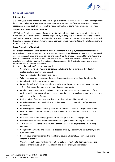

# <span id="page-26-0"></span>**Code of Conduct**

# <span id="page-26-1"></span>**Introduction**

J2S Training Solutions is committed to providing a level of service to its clients that demands high ethical behaviour at all times. Training is a personal service that requires staff and sub-contractors to act in a responsible manner at all times. The rights, needs and wishes of clients must always be respected.

# <span id="page-26-2"></span>**Application of the Code of Conduct**

J2S Training Solutions has a code of conduct for its staff and students that must be adhered to at all times. The Chief Executive Officer has the responsibility to bring this code of conduct to the notice of all staff and students, and ensure it is adhered to. The management of J2S Training Solutions will deal with breaches of the code of conduct. Performance appraisal, where implemented, will include consideration of the code of conduct.

# <span id="page-26-3"></span>**Basic Principles of Conduct**

It is expected that staff and students will work in a manner which displays respect for others and for personal and company property. It is also expected they will show diligence in their work, honesty in all dealings with each other and other parties, and respect for the privacy of others. Staff and students will conduct themselves in a manner which respects the laws of Australia, including the states and the regulations of statutory bodies. The policies and procedures of J2S Training Solutions also form an important part of the code of conduct.

It is expected that all staff and contractors will:

- Communicate with all students, colleagues and stakeholders in a manner that displays professionalism, courtesy and respect
- Work to the best of their ability at all times
- Take reasonable steps to ensure there is adequate protection of confidential information
- Comply with intellectual property guidelines
- Ensure the safety of colleagues and students by reporting any matters that may threaten the safety of others or that may pose a risk of damage to property
- Conduct their assessment and training duties in accordance with the requirements of their position and in accordance with the learning materials, training package requirements and other guidelines for the qualification
- Deliver training fairly and courteously to all students without bias or prejudice
- Provide assessment and feedback in accordance with J2S Training Solutions' policies and procedures
- Provide support and educational guidance to students in a timely and responsive manner
- Perform their work duties diligently and provide reports and feedback to the manager as requested
- Be available for staff meetings, professional development and training updates
- Provide for the accurate retention of records as required by the training organisation
- Act in accordance with relevant laws and agreements that are applicable to J2S Training **Solutions**
- Comply with any lawful and reasonable direction given by a person who has authority to give such a direction
- Report fraud or corrupt conduct to the Chief Executive Officer of J2S Training Solutions or external authorities
- Observe legislation and J2S Training Solutions policies in relation to discrimination on the grounds of gender, sexuality, race, religion, age, disability and/or marital status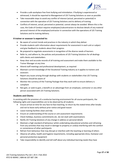

- Provide a safe workplace free from bullying and intimidation. If bullying is experienced or witnessed, it should be reported to Management of J2S Training Solutions as soon as possible
- Take reasonable steps to avoid any conflict of interest (actual, perceived or potential) in connection with the operation of J2S Training Solutions and its delivery of training
- Conflicts of interest, actual, perceived or potential, cannot always be avoided. Where this is the case, the Code of Conduct requires employees/subcontractors to disclose details of any material personal interest of the employee/contractor in connection with the operations of J2S Training Solutions and its training delivery.

# <span id="page-27-0"></span>**A trainer or assessor is expected to:**

- Be aware of current trends and practices in the industry in which they deliver
- Provide students with information about requirements for assessment in each unit or subject and give feedback to students about their progress
- Be prepared to negotiate assessments in recognition of the diverse needs of learners
- Refer to, and adhere to, the policies and procedures of J2S Training Solutions for all dealings with clients and stakeholders
- Keep clear and accurate records of all training and assessment and make them available to the Trainer Manager at any time
- Attend staff meetings and professional development, as required
- Maintain current knowledge of the Vocational Training Industry as it applies to trainers and assessors
- Report any issues arising through dealings with students or stakeholders that J2S Training Solutions should be aware of
- Monitor the currency of the Training Package that they work with to ensure delivery is compliant
- Not gain, or seek to gain, a benefit or an advantage from an employee, contractor or any other person associated with J2S Training Solutions.

# <span id="page-27-1"></span>**Students and Clients:**

In assisting with the provision of a conducive learning environment for all course participants, the following rights and responsibilities are to be observed by all students:

- Ensure arrival on time for any face-to-face teaching, to return by the stated times after breaks and not to leave early without prior notice and good reason
- Leave training facilities clean and tidy
- Ensure an understanding of the course or unit assessment requirements
- Check holidays, business commitments etc. do not clash with examinations
- Notify J2S Training Solutions of any change in address or personal details
- Maintain a high standard of behaviour whilst undertaking educational activities and refraining from any activities that may result in damage to property or unduly interfering with the comfort or convenience of other participants
- Refrain from behaviour that may disrupt or interfere with the teaching or learning of others
- Observe all safety, health and hygiene requirements, including appropriate dress, footwear and personal protective equipment
- Take responsibility to identify and tell staff about any individual learning needs they have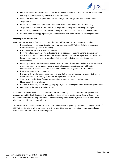

- Keep the trainer and coordinators informed of any difficulties that may be interfering with their learning or where they may need some extra assistance
- Check the assessment requirements for each subject including due dates and number of assignments
- Be aware of, and meet, the trainer's individual expectations in relation to submitting assignments, attendance, communication, negotiation and problem-solving strategies
- Be aware of, and comply with, the J2S Training Solutions' policies that may affect students
- Conduct themselves appropriately at all times whilst a student is with J2S Training Solutions.

# <span id="page-28-0"></span>**Unacceptable behaviour**

Unacceptable behaviour from J2S Training Solutions staff, contractors and students includes:

- Disobeying any reasonable direction by a management or J2S Training Solutions' approved representative (e.g. Trainer/Assessor)
- Discrimination, harassment and victimisation
- Bullying and intimidation. This includes malicious gossip, demeaning remarks or consistent sarcasm or spiteful comments directed at other individuals in the workplace or classroom. This includes comments or posts in social media that are aimed at colleagues, students or management
- Behaving in a manner that is disruptive or unacceptable. This includes yelling at another person, making threatening gestures or using offensive language (including swearing) that is inappropriate or may cause another person to feel unsafe, frightened or threatened
- Making racist or sexist comments
- Disrupting the workplace or classroom in a way that causes unnecessary stress or distress to others and reduces harmony within the workplace or classroom
- Viewing or distributing offensive material via the internet, email or other means
- Illegal use of drugs or alcohol
- Vandalism or causing willful damage to property of J2S Training Solutions or other organisations
- Endangering the safety of self or others.

All students who enrol with J2S Training Solutions are bound by J2S Training Solutions' policies and procedures and Code of Conduct. Any breaches to the policies, procedures and Code of Conduct are dealt with under J2S Training Solutions' Disciplinary Policy and Procedure, which each student must obey as a condition of their enrolment.

Students must follow all safety rules, directions and instructions given by any person acting on behalf of J2S Training Solutions. Where a threat or a risk is identified, this may result in a temporary exclusion from a class until the threat or risk is negated.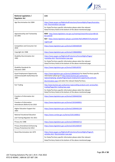

| National Legislation /<br><b>Regulator Act</b>                                | Link                                                                                                                                                                                                                    |
|-------------------------------------------------------------------------------|-------------------------------------------------------------------------------------------------------------------------------------------------------------------------------------------------------------------------|
| Age Discrimination Act 2004                                                   | https://www.ag.gov.au/RightsAndProtections/HumanRights/Pages/Australias-<br>Anti-Discrimination-Law.aspx                                                                                                                |
|                                                                               | For State/Territory specific information please select the relevant<br>State/Territory listed at the bottom of the above-mentioned page.                                                                                |
| Apprenticeship and Traineeship<br>Act 2001                                    | NSW - http://www.legislation.nsw.gov.au/maintop/view/inforce/act+80+20<br>$01 + cd + 0 + N$                                                                                                                             |
|                                                                               | QLD - https://www.legislation.qld.gov.au/LEGISLTN/CURRENT/F/FurtherEdT<br>rngA14.pdf                                                                                                                                    |
| <b>Competition and Consumer Act</b><br>2010                                   | https://www.legislation.gov.au/Series/C2004A00109                                                                                                                                                                       |
| Copyright Act 1968                                                            | https://www.legislation.gov.au/Series/C1968A00063                                                                                                                                                                       |
| Disability Discrimination Act<br>1992                                         | https://www.ag.gov.au/RightsAndProtections/HumanRights/Pages/<br><b>Australias-Anti- Discrimination-Law.aspx</b>                                                                                                        |
|                                                                               | For State/Territory specific information please select the relevant<br>State/Territory listed at the bottom of the above-mentioned page.                                                                                |
| Disability Standards for<br>Education 2005                                    | https://www.legislation.gov.au/Series/F2005L00767                                                                                                                                                                       |
| <b>Equal Employment Opportunity</b><br>(Commonwealth Authorities) Act<br>1987 | https://www.legislation.gov.au/Series/C2004A03429 For State/Territory specific<br>information please go to http://www.business.gov.au/business-<br>topics/employing-people/Pages/equal-employment-opportunity-and-anti- |
|                                                                               | discrimination.aspx and select the relevant State/Territory                                                                                                                                                             |
| <b>Fair Trading</b>                                                           | http://www.business.gov.au/business-topics/selling-products-and-services/fair-<br>trading/Pages/fair-trading-laws.aspx                                                                                                  |
|                                                                               | For State/Territory specific information please select the relevant<br>State/Territory listed at the bottom of the above-mentioned page                                                                                 |
| Freedom of Information Act<br>1982                                            | https://www.legislation.gov.au/Series/C2004A02562                                                                                                                                                                       |
| Freedom of Information<br>Amendment (Reform) Act 2010                         | https://www.legislation.gov.au/Series/C2010A00051                                                                                                                                                                       |
| <b>Higher Education Support Act</b><br>2003                                   | https://www.legislation.gov.au/Series/C2004A01234                                                                                                                                                                       |
| <b>National Vocational Education</b><br>and Training Regulator Act 2011       | https://www.comlaw.gov.au/Series/C2011A00012                                                                                                                                                                            |
| Privacy Act 1988                                                              | https://www.legislation.gov.au/Series/C2004A03712                                                                                                                                                                       |
| <b>Privacy Amendment (Enhancing</b><br>Privacy Protection) Act 2012           | https://www.legislation.gov.au/Series/C2012A00197                                                                                                                                                                       |
| Racial Discrimination Act 1975                                                | https://www.ag.gov.au/RightsAndProtections/HumanRights/Pages/A<br>ustralias-Anti- Discrimination-Law.aspx<br>For State/Territory specific information please select the relevant                                        |
|                                                                               | State/Territory listed at the bottom of the above-mentioned page.                                                                                                                                                       |